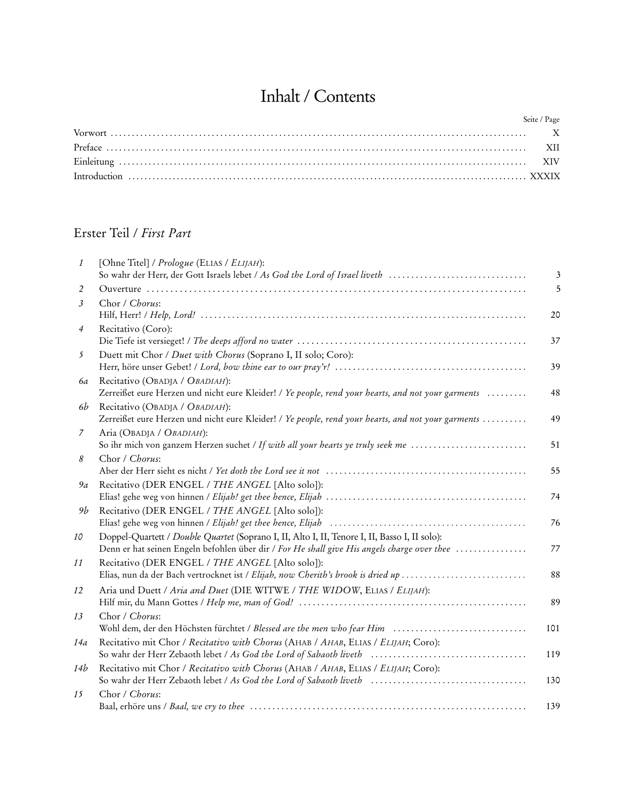## Inhalt / Contents

| Seite / Page |
|--------------|
|              |
|              |
|              |
|              |

## Erster Teil / *First Part*

| $\mathbf{1}$   | [Ohne Titel] / Prologue (ELIAS / ELIJAH):<br>So wahr der Herr, der Gott Israels lebet / As God the Lord of Israel liveth                                                                     | $\mathfrak{Z}$ |
|----------------|----------------------------------------------------------------------------------------------------------------------------------------------------------------------------------------------|----------------|
| 2              |                                                                                                                                                                                              | 5              |
| $\mathfrak{Z}$ | Chor / Chorus:                                                                                                                                                                               | 20             |
| 4              | Recitativo (Coro):                                                                                                                                                                           | 37             |
| 5              | Duett mit Chor / Duet with Chorus (Soprano I, II solo; Coro):                                                                                                                                | 39             |
| 6a             | Recitativo (OBADJA / OBADIAH):<br>Zerreißet eure Herzen und nicht eure Kleider! / Ye people, rend your hearts, and not your garments                                                         | 48             |
| 6b             | Recitativo (OBADJA / OBADIAH):<br>Zerreißet eure Herzen und nicht eure Kleider! / Ye people, rend your hearts, and not your garments                                                         | 49             |
| 7              | Aria (OBADJA / OBADIAH):<br>So ihr mich von ganzem Herzen suchet / If with all your hearts ye truly seek me                                                                                  | 51             |
| 8              | Chor / Chorus:                                                                                                                                                                               | 55             |
| 9a             | Recitativo (DER ENGEL / THE ANGEL [Alto solo]):                                                                                                                                              | 74             |
| 9b             | Recitativo (DER ENGEL / THE ANGEL [Alto solo]):                                                                                                                                              | 76             |
| 10             | Doppel-Quartett / Double Quartet (Soprano I, II, Alto I, II, Tenore I, II, Basso I, II solo):<br>Denn er hat seinen Engeln befohlen über dir / For He shall give His angels charge over thee | 77             |
| 11             | Recitativo (DER ENGEL / THE ANGEL [Alto solo]):<br>Elias, nun da der Bach vertrocknet ist / Elijah, now Cherith's brook is dried up                                                          | 88             |
| 12             | Aria und Duett / Aria and Duet (DIE WITWE / THE WIDOW, ELIAS / ELIJAH):                                                                                                                      | 89             |
| 13             | Chor / Chorus:<br>Wohl dem, der den Höchsten fürchtet / Blessed are the men who fear Him                                                                                                     | 101            |
| 14a            | Recitativo mit Chor / Recitativo with Chorus (AHAB / AHAB, ELIAS / ELIJAH; Coro):<br>So wahr der Herr Zebaoth lebet / As God the Lord of Sabaoth liveth                                      | 119            |
| 14b            | Recitativo mit Chor / Recitativo with Chorus (AHAB / AHAB, ELIAS / ELIJAH; Coro):<br>So wahr der Herr Zebaoth lebet / As God the Lord of Sabaoth liveth                                      | 130            |
| 15             | Chor / Chorus:                                                                                                                                                                               | 139            |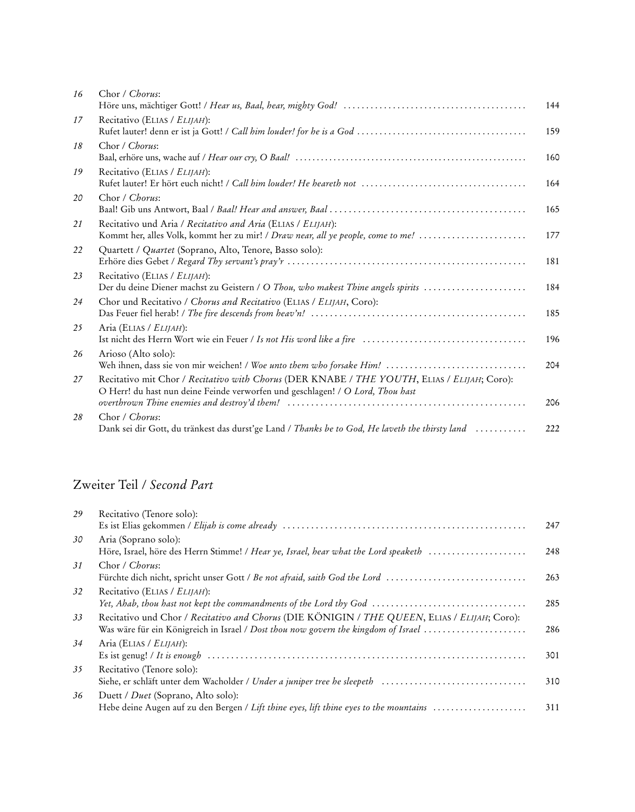| 16 | Chor / Chorus:                                                                                                                                                                |     |
|----|-------------------------------------------------------------------------------------------------------------------------------------------------------------------------------|-----|
|    |                                                                                                                                                                               | 144 |
| 17 | Recitativo (ELIAS / ELIJAH):                                                                                                                                                  | 159 |
| 18 | Chor / Chorus:                                                                                                                                                                | 160 |
| 19 | Recitativo (ELIAS / ELIJAH):                                                                                                                                                  | 164 |
| 20 | Chor / Chorus:                                                                                                                                                                | 165 |
| 21 | Recitativo und Aria / Recitativo and Aria (ELIAS / ELIJAH):<br>Kommt her, alles Volk, kommt her zu mir! / Draw near, all ye people, come to me!                               | 177 |
| 22 | Quartett / Quartet (Soprano, Alto, Tenore, Basso solo):                                                                                                                       | 181 |
| 23 | Recitativo (ELIAS / ELIJAH):<br>Der du deine Diener machst zu Geistern / O Thou, who makest Thine angels spirits                                                              | 184 |
| 24 | Chor und Recitativo / Chorus and Recitativo (ELIAS / ELIJAH, Coro):                                                                                                           | 185 |
| 25 | Aria (ELIAS / ELIJAH):                                                                                                                                                        | 196 |
| 26 | Arioso (Alto solo):<br>Weh ihnen, dass sie von mir weichen! / Woe unto them who forsake Him!                                                                                  | 204 |
| 27 | Recitativo mit Chor / Recitativo with Chorus (DER KNABE / THE YOUTH, ELIAS / ELIJAH; Coro):<br>O Herr! du hast nun deine Feinde verworfen und geschlagen! / O Lord, Thou hast | 206 |
| 28 | Chor / Chorus:<br>Dank sei dir Gott, du tränkest das durst'ge Land / Thanks be to God, He laveth the thirsty land                                                             | 222 |
|    |                                                                                                                                                                               |     |

## Zweiter Teil / *Second Part*

| 29 | Recitativo (Tenore solo):                                                                                                           |     |
|----|-------------------------------------------------------------------------------------------------------------------------------------|-----|
|    |                                                                                                                                     | 247 |
| 30 | Aria (Soprano solo):                                                                                                                |     |
|    | Höre, Israel, höre des Herrn Stimme! / Hear ye, Israel, hear what the Lord speaketh                                                 | 248 |
| 31 | Chor / Chorus:                                                                                                                      |     |
|    | Fürchte dich nicht, spricht unser Gott / Be not afraid, saith God the Lord                                                          | 263 |
| 32 | Recitativo (ELIAS / ELIJAH):                                                                                                        |     |
|    | Yet, Ahab, thou hast not kept the commandments of the Lord thy God $\ldots \ldots \ldots \ldots \ldots \ldots \ldots \ldots \ldots$ | 285 |
| 33 | Recitativo und Chor / Recitativo and Chorus (DIE KÖNIGIN / THE QUEEN, ELIAS / ELIJAH; Coro):                                        |     |
|    | Was wäre für ein Königreich in Israel / Dost thou now govern the kingdom of Israel $\dots\dots\dots\dots\dots\dots\dots$            | 286 |
| 34 | Aria (ELIAS / ELIJAH):                                                                                                              |     |
|    |                                                                                                                                     | 301 |
| 35 | Recitativo (Tenore solo):                                                                                                           |     |
|    | Siehe, er schläft unter dem Wacholder / Under a juniper tree he sleepeth                                                            | 310 |
| 36 | Duett / <i>Duet</i> (Soprano, Alto solo):                                                                                           |     |
|    | Hebe deine Augen auf zu den Bergen / Lift thine eyes, lift thine eyes to the mountains                                              | 311 |